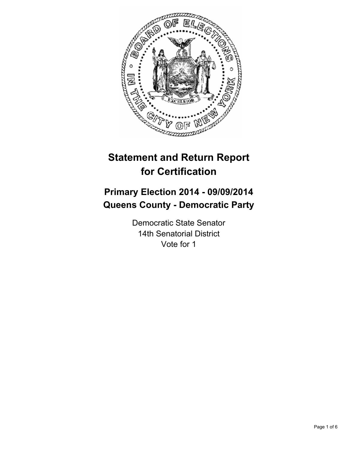

# **Statement and Return Report for Certification**

## **Primary Election 2014 - 09/09/2014 Queens County - Democratic Party**

Democratic State Senator 14th Senatorial District Vote for 1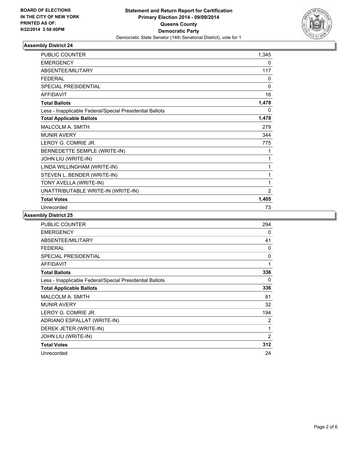

| <b>PUBLIC COUNTER</b>                                    | 1,345          |
|----------------------------------------------------------|----------------|
| <b>EMERGENCY</b>                                         | 0              |
| ABSENTEE/MILITARY                                        | 117            |
| <b>FEDERAL</b>                                           | 0              |
| <b>SPECIAL PRESIDENTIAL</b>                              | 0              |
| <b>AFFIDAVIT</b>                                         | 16             |
| <b>Total Ballots</b>                                     | 1,478          |
| Less - Inapplicable Federal/Special Presidential Ballots | 0              |
| <b>Total Applicable Ballots</b>                          | 1,478          |
| MALCOLM A. SMITH                                         | 279            |
| <b>MUNIR AVERY</b>                                       | 344            |
| LEROY G. COMRIE JR.                                      | 775            |
| BERNEDETTE SEMPLE (WRITE-IN)                             | 1              |
| JOHN LIU (WRITE-IN)                                      | 1              |
| LINDA WILLINGHAM (WRITE-IN)                              | 1              |
| STEVEN L. BENDER (WRITE-IN)                              | 1              |
| TONY AVELLA (WRITE-IN)                                   | 1              |
| UNATTRIBUTABLE WRITE-IN (WRITE-IN)                       | $\overline{2}$ |
| <b>Total Votes</b>                                       | 1,405          |
| Unrecorded                                               | 73             |

| <b>PUBLIC COUNTER</b>                                    | 294            |
|----------------------------------------------------------|----------------|
| <b>EMERGENCY</b>                                         | 0              |
| ABSENTEE/MILITARY                                        | 41             |
| <b>FEDERAL</b>                                           | 0              |
| <b>SPECIAL PRESIDENTIAL</b>                              | $\Omega$       |
| <b>AFFIDAVIT</b>                                         | 1              |
| <b>Total Ballots</b>                                     | 336            |
| Less - Inapplicable Federal/Special Presidential Ballots | 0              |
| <b>Total Applicable Ballots</b>                          | 336            |
| <b>MALCOLM A. SMITH</b>                                  | 81             |
| <b>MUNIR AVERY</b>                                       | 32             |
| LEROY G. COMRIE JR.                                      | 194            |
| ADRIANO ESPALLAT (WRITE-IN)                              | 2              |
| DEREK JETER (WRITE-IN)                                   | 1              |
| JOHN LIU (WRITE-IN)                                      | $\overline{2}$ |
| <b>Total Votes</b>                                       | 312            |
| Unrecorded                                               | 24             |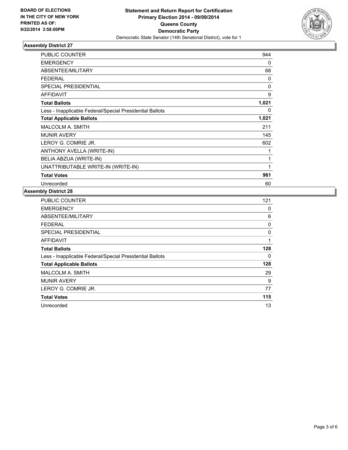

| <b>PUBLIC COUNTER</b>                                    | 944      |
|----------------------------------------------------------|----------|
| <b>EMERGENCY</b>                                         | 0        |
| ABSENTEE/MILITARY                                        | 68       |
| <b>FEDERAL</b>                                           | 0        |
| <b>SPECIAL PRESIDENTIAL</b>                              | $\Omega$ |
| <b>AFFIDAVIT</b>                                         | 9        |
| <b>Total Ballots</b>                                     | 1,021    |
| Less - Inapplicable Federal/Special Presidential Ballots | 0        |
| <b>Total Applicable Ballots</b>                          | 1,021    |
| <b>MALCOLM A. SMITH</b>                                  | 211      |
| <b>MUNIR AVERY</b>                                       | 145      |
| LEROY G. COMRIE JR.                                      | 602      |
| ANTHONY AVELLA (WRITE-IN)                                |          |
| BELIA ABZUA (WRITE-IN)                                   | 1        |
| UNATTRIBUTABLE WRITE-IN (WRITE-IN)                       | 1        |
| <b>Total Votes</b>                                       | 961      |
| Unrecorded                                               | 60       |

| <b>PUBLIC COUNTER</b>                                    | 121 |
|----------------------------------------------------------|-----|
| <b>EMERGENCY</b>                                         | 0   |
| ABSENTEE/MILITARY                                        | 6   |
| FEDERAL                                                  | 0   |
| <b>SPECIAL PRESIDENTIAL</b>                              | 0   |
| <b>AFFIDAVIT</b>                                         | 1   |
| <b>Total Ballots</b>                                     | 128 |
| Less - Inapplicable Federal/Special Presidential Ballots | 0   |
| <b>Total Applicable Ballots</b>                          | 128 |
| <b>MALCOLM A. SMITH</b>                                  | 29  |
| <b>MUNIR AVERY</b>                                       | 9   |
| LEROY G. COMRIE JR.                                      | 77  |
| <b>Total Votes</b>                                       | 115 |
| Unrecorded                                               | 13  |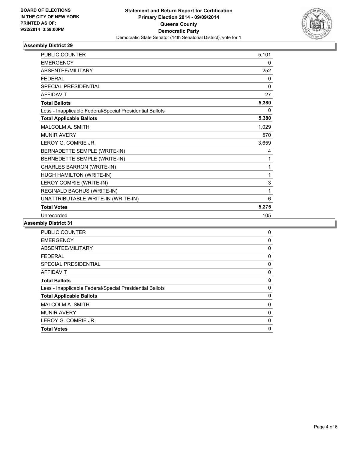

| <b>PUBLIC COUNTER</b>                                    | 5,101        |
|----------------------------------------------------------|--------------|
| <b>EMERGENCY</b>                                         | 0            |
| ABSENTEE/MILITARY                                        | 252          |
| <b>FEDERAL</b>                                           | 0            |
| <b>SPECIAL PRESIDENTIAL</b>                              | $\mathbf{0}$ |
| <b>AFFIDAVIT</b>                                         | 27           |
| <b>Total Ballots</b>                                     | 5,380        |
| Less - Inapplicable Federal/Special Presidential Ballots | 0            |
| <b>Total Applicable Ballots</b>                          | 5,380        |
| <b>MALCOLM A. SMITH</b>                                  | 1,029        |
| <b>MUNIR AVERY</b>                                       | 570          |
| LEROY G. COMRIE JR.                                      | 3,659        |
| BERNADETTE SEMPLE (WRITE-IN)                             | 4            |
| BERNEDETTE SEMPLE (WRITE-IN)                             | 1            |
| CHARLES BARRON (WRITE-IN)                                | 1            |
| HUGH HAMILTON (WRITE-IN)                                 | 1            |
| LEROY COMRIE (WRITE-IN)                                  | 3            |
| REGINALD BACHUS (WRITE-IN)                               | 1            |
| UNATTRIBUTABLE WRITE-IN (WRITE-IN)                       | 6            |
| <b>Total Votes</b>                                       | 5,275        |
| Unrecorded                                               | 105          |

| <b>PUBLIC COUNTER</b>                                    | 0           |
|----------------------------------------------------------|-------------|
| <b>EMERGENCY</b>                                         | 0           |
| ABSENTEE/MILITARY                                        | $\mathbf 0$ |
| <b>FEDERAL</b>                                           | 0           |
| SPECIAL PRESIDENTIAL                                     | 0           |
| AFFIDAVIT                                                | 0           |
| <b>Total Ballots</b>                                     | 0           |
| Less - Inapplicable Federal/Special Presidential Ballots | 0           |
| <b>Total Applicable Ballots</b>                          | 0           |
| <b>MALCOLM A. SMITH</b>                                  | 0           |
| <b>MUNIR AVERY</b>                                       | 0           |
| LEROY G. COMRIE JR.                                      | 0           |
| <b>Total Votes</b>                                       | 0           |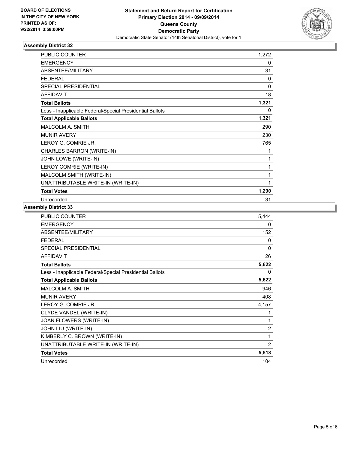

| <b>PUBLIC COUNTER</b>                                    | 1,272 |
|----------------------------------------------------------|-------|
| <b>EMERGENCY</b>                                         | 0     |
| ABSENTEE/MILITARY                                        | 31    |
| <b>FEDERAL</b>                                           | 0     |
| <b>SPECIAL PRESIDENTIAL</b>                              | 0     |
| <b>AFFIDAVIT</b>                                         | 18    |
| <b>Total Ballots</b>                                     | 1,321 |
| Less - Inapplicable Federal/Special Presidential Ballots | 0     |
| <b>Total Applicable Ballots</b>                          | 1,321 |
| <b>MALCOLM A. SMITH</b>                                  | 290   |
| <b>MUNIR AVERY</b>                                       | 230   |
| LEROY G. COMRIE JR.                                      | 765   |
| CHARLES BARRON (WRITE-IN)                                | 1     |
| JOHN LOWE (WRITE-IN)                                     | 1     |
| LEROY COMRIE (WRITE-IN)                                  | 1     |
| MALCOLM SMITH (WRITE-IN)                                 | 1     |
| UNATTRIBUTABLE WRITE-IN (WRITE-IN)                       | 1     |
| <b>Total Votes</b>                                       | 1,290 |
| Unrecorded                                               | 31    |

| <b>PUBLIC COUNTER</b>                                    | 5,444 |
|----------------------------------------------------------|-------|
| <b>EMERGENCY</b>                                         | 0     |
| ABSENTEE/MILITARY                                        | 152   |
| <b>FEDERAL</b>                                           | 0     |
| <b>SPECIAL PRESIDENTIAL</b>                              | 0     |
| <b>AFFIDAVIT</b>                                         | 26    |
| <b>Total Ballots</b>                                     | 5,622 |
| Less - Inapplicable Federal/Special Presidential Ballots | 0     |
| <b>Total Applicable Ballots</b>                          | 5,622 |
| <b>MALCOLM A. SMITH</b>                                  | 946   |
| <b>MUNIR AVERY</b>                                       | 408   |
| LEROY G. COMRIE JR.                                      | 4,157 |
| CLYDE VANDEL (WRITE-IN)                                  | 1     |
| JOAN FLOWERS (WRITE-IN)                                  | 1     |
| JOHN LIU (WRITE-IN)                                      | 2     |
| KIMBERLY C. BROWN (WRITE-IN)                             | 1     |
| UNATTRIBUTABLE WRITE-IN (WRITE-IN)                       | 2     |
| <b>Total Votes</b>                                       | 5,518 |
| Unrecorded                                               | 104   |